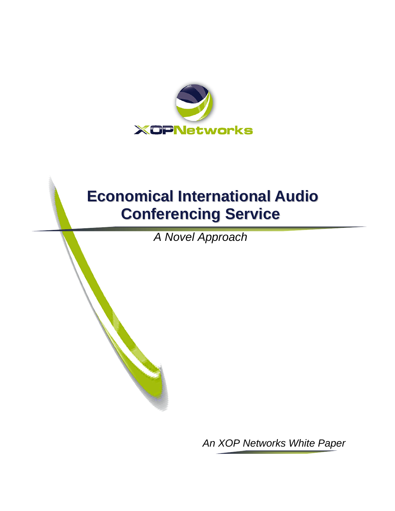

# **Economical International Audio Conferencing Service**

 *A Novel Approach* 

*An XOP Networks White Paper*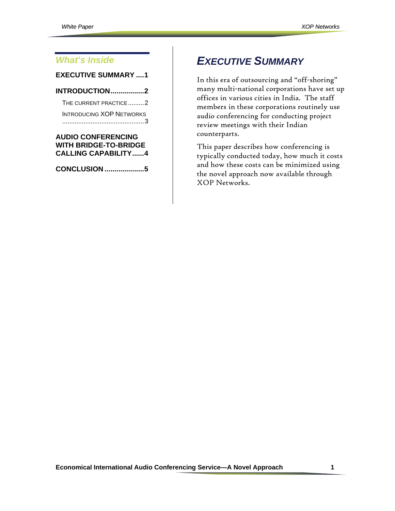#### <span id="page-1-0"></span>*What's Inside*

#### **[EXECUTIVE SUMMARY ....1](#page-1-0)**

**[INTRODUCTION.................2](#page--1-0)**

[THE CURRENT PRACTICE.........2](#page--1-0) [INTRODUCING XOP](#page--1-0) [NETWORKS](#page--1-0) [..............................................3](#page--1-0)

#### **[AUDIO CONFERENCING](#page--1-0)  [WITH BRIDGE-TO-BRIDGE](#page--1-0)  [CALLING CAPABILITY......4](#page--1-0)**

**[CONCLUSION](#page--1-0) ....................5**

# *EXECUTIVE SUMMARY*

In this era of outsourcing and "off-shoring" many multi-national corporations have set up offices in various cities in India. The staff members in these corporations routinely use audio conferencing for conducting project review meetings with their Indian counterparts.

This paper describes how conferencing is typically conducted today, how much it costs and how these costs can be minimized using the novel approach now available through XOP Networks.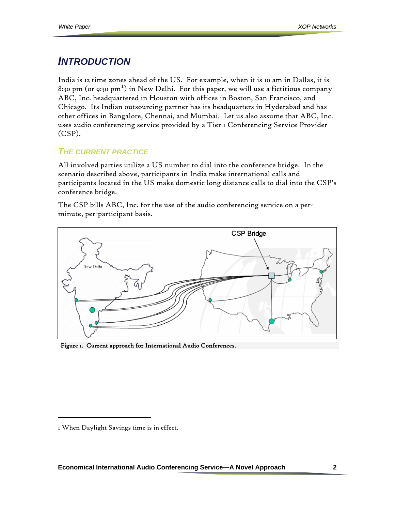### *INTRODUCTION*

India is 12 time zones ahead of the US. For example, when it is 10 am in Dallas, it is 8:30 pm (or 9:30 pm $^1)$  $^1)$  $^1)$  in New Delhi. For this paper, we will use a fictitious company ABC, Inc. headquartered in Houston with offices in Boston, San Francisco, and Chicago. Its Indian outsourcing partner has its headquarters in Hyderabad and has other offices in Bangalore, Chennai, and Mumbai. Let us also assume that ABC, Inc. uses audio conferencing service provided by a Tier 1 Conferencing Service Provider (CSP).

#### *THE CURRENT PRACTICE*

All involved parties utilize a US number to dial into the conference bridge. In the scenario described above, participants in India make international calls and participants located in the US make domestic long distance calls to dial into the CSP's conference bridge.

The CSP bills ABC, Inc. for the use of the audio conferencing service on a perminute, per-participant basis.



Figure 1. Current approach for International Audio Conferences.

I

<span id="page-2-0"></span><sup>1</sup> When Daylight Savings time is in effect.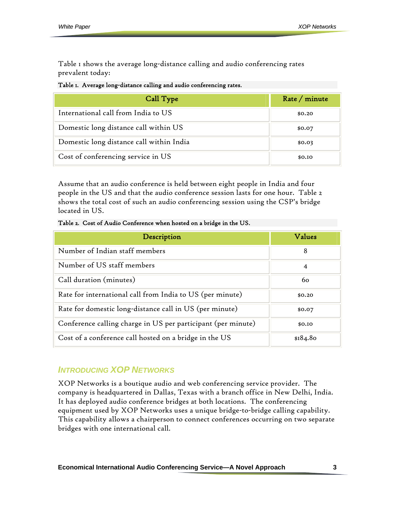Table 1 shows the average long-distance calling and audio conferencing rates prevalent today:

| Table I. Average long-distance calling and audio conferencing rates. |  |  |  |  |  |  |  |
|----------------------------------------------------------------------|--|--|--|--|--|--|--|
|----------------------------------------------------------------------|--|--|--|--|--|--|--|

| Call Type                                | Rate / minute |
|------------------------------------------|---------------|
| International call from India to US      | \$0.20        |
| Domestic long distance call within US    | \$0.07        |
| Domestic long distance call within India | \$0.03        |
| Cost of conferencing service in US       | \$0.10        |

Assume that an audio conference is held between eight people in India and four people in the US and that the audio conference session lasts for one hour. Table 2 shows the total cost of such an audio conferencing session using the CSP's bridge located in US.

Table 2. Cost of Audio Conference when hosted on a bridge in the US.

| Description                                                  | Values   |
|--------------------------------------------------------------|----------|
| Number of Indian staff members                               | 8        |
| Number of US staff members                                   | 4        |
| Call duration (minutes)                                      | 60       |
| Rate for international call from India to US (per minute)    | \$0.20   |
| Rate for domestic long-distance call in US (per minute)      | \$0.07   |
| Conference calling charge in US per participant (per minute) | \$0.10   |
| Cost of a conference call hosted on a bridge in the US       | \$184.80 |

#### *INTRODUCING XOP NETWORKS*

XOP Networks is a boutique audio and web conferencing service provider. The company is headquartered in Dallas, Texas with a branch office in New Delhi, India. It has deployed audio conference bridges at both locations. The conferencing equipment used by XOP Networks uses a unique bridge-to-bridge calling capability. This capability allows a chairperson to connect conferences occurring on two separate bridges with one international call.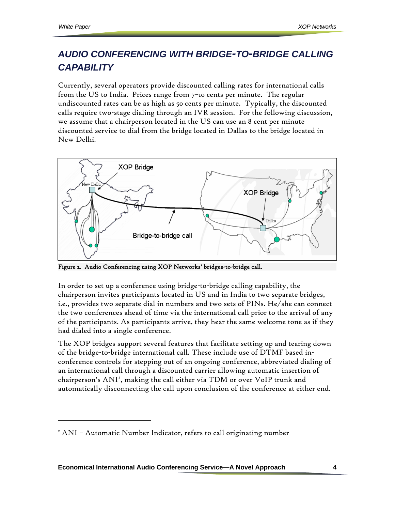$\overline{a}$ 

## *AUDIO CONFERENCING WITH BRIDGE-TO-BRIDGE CALLING CAPABILITY*

Currently, several operators provide discounted calling rates for international calls from the US to India. Prices range from 7–10 cents per minute. The regular undiscounted rates can be as high as 50 cents per minute. Typically, the discounted calls require two-stage dialing through an IVR session. For the following discussion, we assume that a chairperson located in the US can use an 8 cent per minute discounted service to dial from the bridge located in Dallas to the bridge located in New Delhi.



Figure 2. Audio Conferencing using XOP Networks' bridges-to-bridge call.

In order to set up a conference using bridge-to-bridge calling capability, the chairperson invites participants located in US and in India to two separate bridges, i.e., provides two separate dial in numbers and two sets of PINs. He/she can connect the two conferences ahead of time via the international call prior to the arrival of any of the participants. As participants arrive, they hear the same welcome tone as if they had dialed into a single conference.

The XOP bridges support several features that facilitate setting up and tearing down of the bridge-to-bridge international call. These include use of DTMF based inconference controls for stepping out of an ongoing conference, abbreviated dialing of an international call through a discounted carrier allowing automatic insertion of chairperson's ANI<sup>[2](#page-4-0)</sup>, making the call either via TDM or over VoIP trunk and automatically disconnecting the call upon conclusion of the conference at either end.

**Economical International Audio Conferencing Service—A Novel Approach 4** 

<span id="page-4-0"></span><sup>&</sup>lt;sup>2</sup> ANI - Automatic Number Indicator, refers to call originating number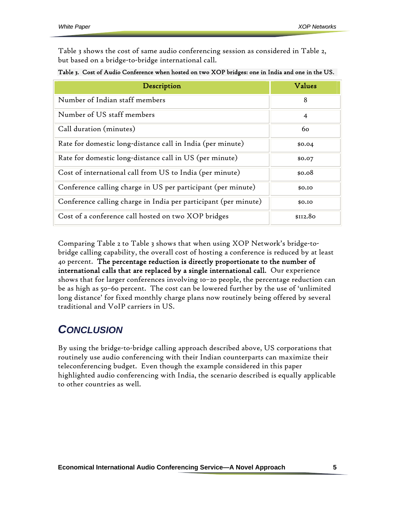Table 3 shows the cost of same audio conferencing session as considered in Table 2, but based on a bridge-to-bridge international call.

| Table 3. Cost of Audio Conference when hosted on two XOP bridges: one in India and one in the US. |  |
|---------------------------------------------------------------------------------------------------|--|
|---------------------------------------------------------------------------------------------------|--|

| Description                                                     | Values         |
|-----------------------------------------------------------------|----------------|
| Number of Indian staff members                                  | 8              |
| Number of US staff members                                      | $\overline{4}$ |
| Call duration (minutes)                                         | 60             |
| Rate for domestic long-distance call in India (per minute)      | \$0.04         |
| Rate for domestic long-distance call in US (per minute)         | \$0.07         |
| Cost of international call from US to India (per minute)        | \$0.08         |
| Conference calling charge in US per participant (per minute)    | \$0.10         |
| Conference calling charge in India per participant (per minute) | \$0.10         |
| Cost of a conference call hosted on two XOP bridges             | \$112.80       |

Comparing Table 2 to Table 3 shows that when using XOP Network's bridge-tobridge calling capability, the overall cost of hosting a conference is reduced by at least 40 percent. The percentage reduction is directly proportionate to the number of international calls that are replaced by a single international call. Our experience shows that for larger conferences involving 10–20 people, the percentage reduction can be as high as 50–60 percent. The cost can be lowered further by the use of 'unlimited long distance' for fixed monthly charge plans now routinely being offered by several traditional and VoIP carriers in US.

### *CONCLUSION*

By using the bridge-to-bridge calling approach described above, US corporations that routinely use audio conferencing with their Indian counterparts can maximize their teleconferencing budget. Even though the example considered in this paper highlighted audio conferencing with India, the scenario described is equally applicable to other countries as well.